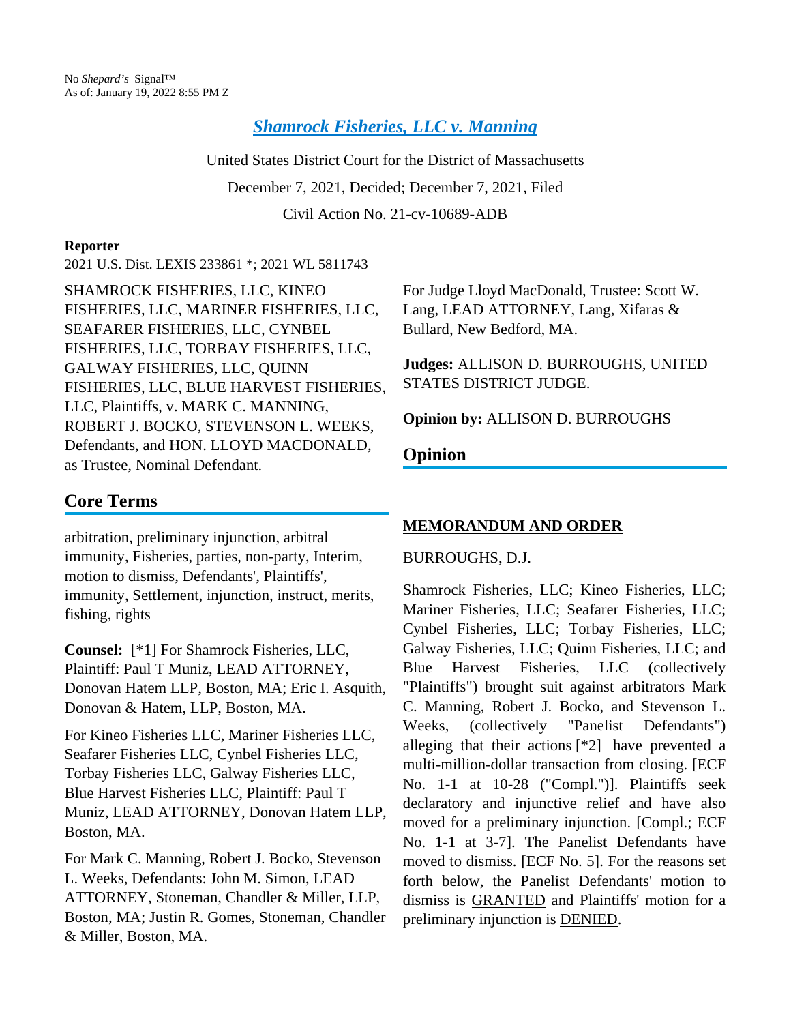*[Shamrock Fisheries, LLC v. Manning](https://plus.lexis.com/api/document?collection=cases&id=urn:contentItem:6480-NMK1-JNCK-2009-00000-00&context=1530671)*

United States District Court for the District of Massachusetts December 7, 2021, Decided; December 7, 2021, Filed Civil Action No. 21-cv-10689-ADB

#### **Reporter**

2021 U.S. Dist. LEXIS 233861 \*; 2021 WL 5811743

SHAMROCK FISHERIES, LLC, KINEO FISHERIES, LLC, MARINER FISHERIES, LLC, SEAFARER FISHERIES, LLC, CYNBEL FISHERIES, LLC, TORBAY FISHERIES, LLC, GALWAY FISHERIES, LLC, QUINN FISHERIES, LLC, BLUE HARVEST FISHERIES, LLC, Plaintiffs, v. MARK C. MANNING, ROBERT J. BOCKO, STEVENSON L. WEEKS, Defendants, and HON. LLOYD MACDONALD, as Trustee, Nominal Defendant.

# **Core Terms**

arbitration, preliminary injunction, arbitral immunity, Fisheries, parties, non-party, Interim, motion to dismiss, Defendants', Plaintiffs', immunity, Settlement, injunction, instruct, merits, fishing, rights

**Counsel:** [\*1] For Shamrock Fisheries, LLC, Plaintiff: Paul T Muniz, LEAD ATTORNEY, Donovan Hatem LLP, Boston, MA; Eric I. Asquith, Donovan & Hatem, LLP, Boston, MA.

For Kineo Fisheries LLC, Mariner Fisheries LLC, Seafarer Fisheries LLC, Cynbel Fisheries LLC, Torbay Fisheries LLC, Galway Fisheries LLC, Blue Harvest Fisheries LLC, Plaintiff: Paul T Muniz, LEAD ATTORNEY, Donovan Hatem LLP, Boston, MA.

For Mark C. Manning, Robert J. Bocko, Stevenson L. Weeks, Defendants: John M. Simon, LEAD ATTORNEY, Stoneman, Chandler & Miller, LLP, Boston, MA; Justin R. Gomes, Stoneman, Chandler & Miller, Boston, MA.

For Judge Lloyd MacDonald, Trustee: Scott W. Lang, LEAD ATTORNEY, Lang, Xifaras & Bullard, New Bedford, MA.

**Judges:** ALLISON D. BURROUGHS, UNITED STATES DISTRICT JUDGE.

**Opinion by:** ALLISON D. BURROUGHS

# **Opinion**

## **MEMORANDUM AND ORDER**

### BURROUGHS, D.J.

Shamrock Fisheries, LLC; Kineo Fisheries, LLC; Mariner Fisheries, LLC; Seafarer Fisheries, LLC; Cynbel Fisheries, LLC; Torbay Fisheries, LLC; Galway Fisheries, LLC; Quinn Fisheries, LLC; and Blue Harvest Fisheries, LLC (collectively "Plaintiffs") brought suit against arbitrators Mark C. Manning, Robert J. Bocko, and Stevenson L. Weeks, (collectively "Panelist Defendants") alleging that their actions [\*2] have prevented a multi-million-dollar transaction from closing. [ECF No. 1-1 at 10-28 ("Compl.")]. Plaintiffs seek declaratory and injunctive relief and have also moved for a preliminary injunction. [Compl.; ECF No. 1-1 at 3-7]. The Panelist Defendants have moved to dismiss. [ECF No. 5]. For the reasons set forth below, the Panelist Defendants' motion to dismiss is GRANTED and Plaintiffs' motion for a preliminary injunction is DENIED.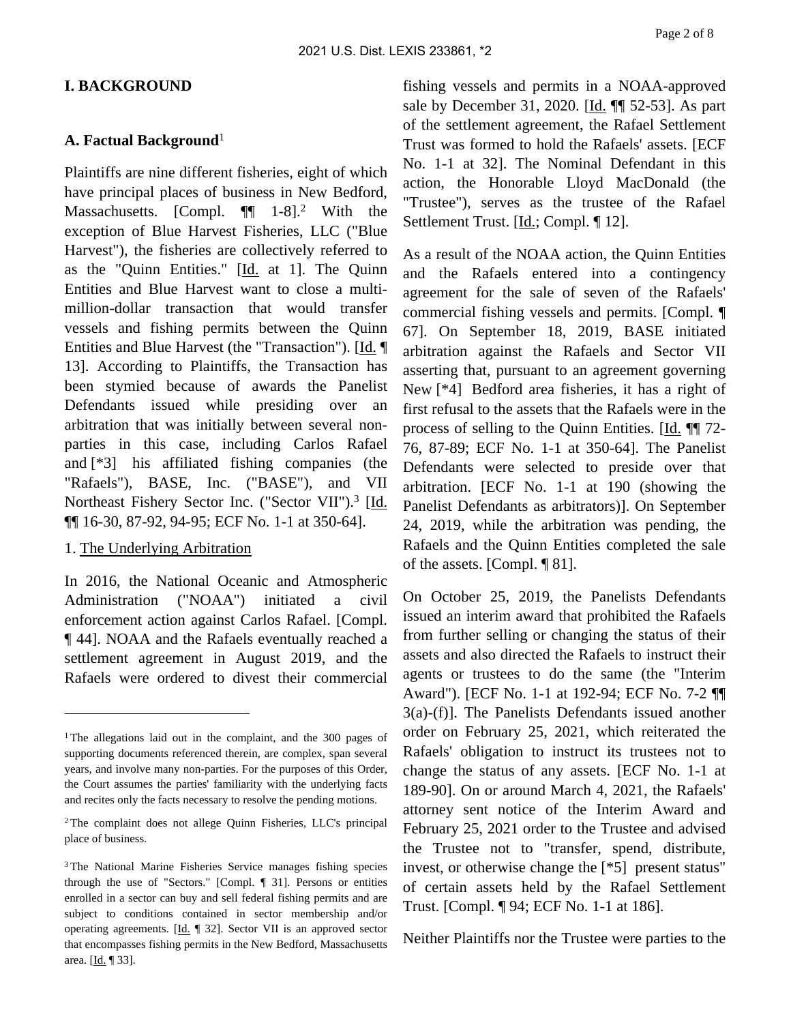#### **I. BACKGROUND**

#### **A. Factual Background**<sup>1</sup>

Plaintiffs are nine different fisheries, eight of which have principal places of business in New Bedford, Massachusetts. [Compl.  $\P$ [ 1-8].<sup>2</sup> With the exception of Blue Harvest Fisheries, LLC ("Blue Harvest"), the fisheries are collectively referred to as the "Quinn Entities." [Id. at 1]. The Quinn Entities and Blue Harvest want to close a multimillion-dollar transaction that would transfer vessels and fishing permits between the Quinn Entities and Blue Harvest (the "Transaction"). [Id. ] 13]. According to Plaintiffs, the Transaction has been stymied because of awards the Panelist Defendants issued while presiding over an arbitration that was initially between several nonparties in this case, including Carlos Rafael and [\*3] his affiliated fishing companies (the "Rafaels"), BASE, Inc. ("BASE"), and VII Northeast Fishery Sector Inc. ("Sector VII").<sup>3</sup> [Id. ¶¶ 16-30, 87-92, 94-95; ECF No. 1-1 at 350-64].

#### 1. The Underlying Arbitration

In 2016, the National Oceanic and Atmospheric Administration ("NOAA") initiated a civil enforcement action against Carlos Rafael. [Compl. ¶ 44]. NOAA and the Rafaels eventually reached a settlement agreement in August 2019, and the Rafaels were ordered to divest their commercial

fishing vessels and permits in a NOAA-approved sale by December 31, 2020. [Id. ¶¶ 52-53]. As part of the settlement agreement, the Rafael Settlement Trust was formed to hold the Rafaels' assets. [ECF No. 1-1 at 32]. The Nominal Defendant in this action, the Honorable Lloyd MacDonald (the "Trustee"), serves as the trustee of the Rafael Settlement Trust. [Id.; Compl. ¶ 12].

As a result of the NOAA action, the Quinn Entities and the Rafaels entered into a contingency agreement for the sale of seven of the Rafaels' commercial fishing vessels and permits. [Compl. ¶ 67]. On September 18, 2019, BASE initiated arbitration against the Rafaels and Sector VII asserting that, pursuant to an agreement governing New [\*4] Bedford area fisheries, it has a right of first refusal to the assets that the Rafaels were in the process of selling to the Quinn Entities. [Id. ¶¶ 72- 76, 87-89; ECF No. 1-1 at 350-64]. The Panelist Defendants were selected to preside over that arbitration. [ECF No. 1-1 at 190 (showing the Panelist Defendants as arbitrators)]. On September 24, 2019, while the arbitration was pending, the Rafaels and the Quinn Entities completed the sale of the assets. [Compl. ¶ 81].

On October 25, 2019, the Panelists Defendants issued an interim award that prohibited the Rafaels from further selling or changing the status of their assets and also directed the Rafaels to instruct their agents or trustees to do the same (the "Interim Award"). [ECF No. 1-1 at 192-94; ECF No. 7-2 ¶¶ 3(a)-(f)]. The Panelists Defendants issued another order on February 25, 2021, which reiterated the Rafaels' obligation to instruct its trustees not to change the status of any assets. [ECF No. 1-1 at 189-90]. On or around March 4, 2021, the Rafaels' attorney sent notice of the Interim Award and February 25, 2021 order to the Trustee and advised the Trustee not to "transfer, spend, distribute, invest, or otherwise change the [\*5] present status" of certain assets held by the Rafael Settlement Trust. [Compl. ¶ 94; ECF No. 1-1 at 186].

Neither Plaintiffs nor the Trustee were parties to the

<sup>&</sup>lt;sup>1</sup>The allegations laid out in the complaint, and the 300 pages of supporting documents referenced therein, are complex, span several years, and involve many non-parties. For the purposes of this Order, the Court assumes the parties' familiarity with the underlying facts and recites only the facts necessary to resolve the pending motions.

<sup>2</sup>The complaint does not allege Quinn Fisheries, LLC's principal place of business.

<sup>3</sup>The National Marine Fisheries Service manages fishing species through the use of "Sectors." [Compl. ¶ 31]. Persons or entities enrolled in a sector can buy and sell federal fishing permits and are subject to conditions contained in sector membership and/or operating agreements. [Id. ¶ 32]. Sector VII is an approved sector that encompasses fishing permits in the New Bedford, Massachusetts area. [Id. ¶ 33].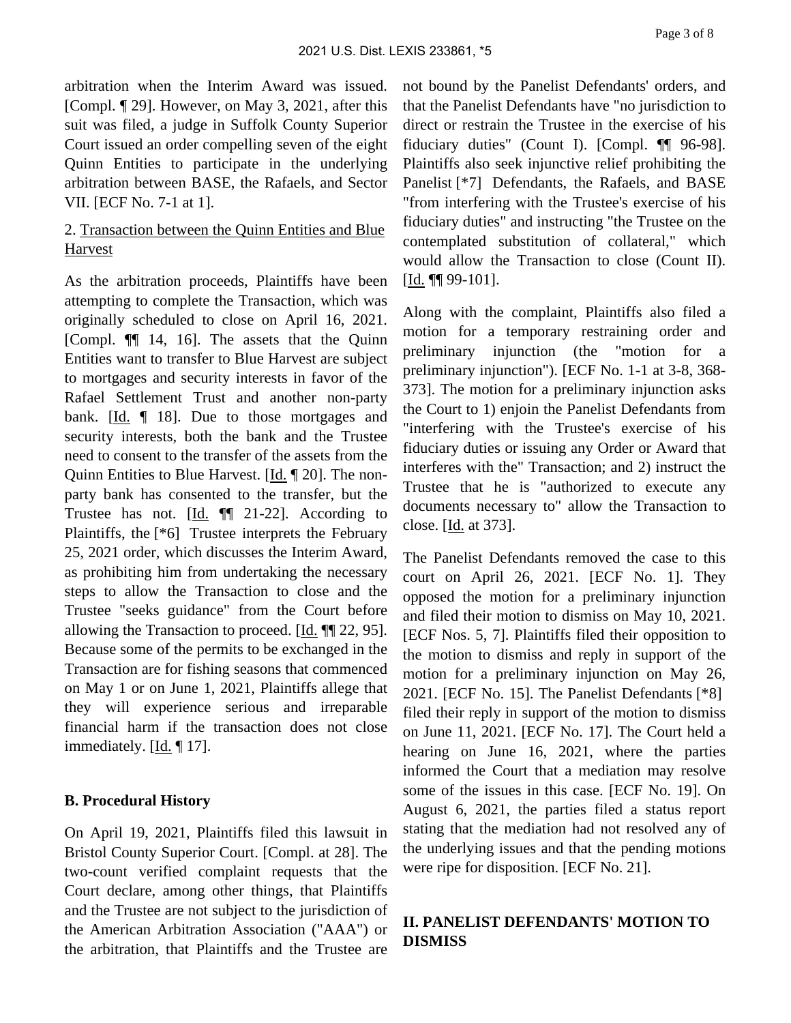arbitration when the Interim Award was issued. [Compl. ¶ 29]. However, on May 3, 2021, after this suit was filed, a judge in Suffolk County Superior Court issued an order compelling seven of the eight Quinn Entities to participate in the underlying arbitration between BASE, the Rafaels, and Sector VII. [ECF No. 7-1 at 1].

## 2. Transaction between the Quinn Entities and Blue Harvest

As the arbitration proceeds, Plaintiffs have been attempting to complete the Transaction, which was originally scheduled to close on April 16, 2021. [Compl. ¶¶ 14, 16]. The assets that the Quinn Entities want to transfer to Blue Harvest are subject to mortgages and security interests in favor of the Rafael Settlement Trust and another non-party bank. [Id. ¶ 18]. Due to those mortgages and security interests, both the bank and the Trustee need to consent to the transfer of the assets from the Quinn Entities to Blue Harvest. [Id. ¶ 20]. The nonparty bank has consented to the transfer, but the Trustee has not. [Id. ¶¶ 21-22]. According to Plaintiffs, the [\*6] Trustee interprets the February 25, 2021 order, which discusses the Interim Award, as prohibiting him from undertaking the necessary steps to allow the Transaction to close and the Trustee "seeks guidance" from the Court before allowing the Transaction to proceed. [Id. ¶¶ 22, 95]. Because some of the permits to be exchanged in the Transaction are for fishing seasons that commenced on May 1 or on June 1, 2021, Plaintiffs allege that they will experience serious and irreparable financial harm if the transaction does not close immediately. [Id. ¶ 17].

### **B. Procedural History**

On April 19, 2021, Plaintiffs filed this lawsuit in Bristol County Superior Court. [Compl. at 28]. The two-count verified complaint requests that the Court declare, among other things, that Plaintiffs and the Trustee are not subject to the jurisdiction of the American Arbitration Association ("AAA") or the arbitration, that Plaintiffs and the Trustee are

not bound by the Panelist Defendants' orders, and that the Panelist Defendants have "no jurisdiction to direct or restrain the Trustee in the exercise of his fiduciary duties" (Count I). [Compl. ¶¶ 96-98]. Plaintiffs also seek injunctive relief prohibiting the Panelist [\*7] Defendants, the Rafaels, and BASE "from interfering with the Trustee's exercise of his fiduciary duties" and instructing "the Trustee on the contemplated substitution of collateral," which would allow the Transaction to close (Count II). [Id. ¶¶ 99-101].

Along with the complaint, Plaintiffs also filed a motion for a temporary restraining order and preliminary injunction (the "motion for a preliminary injunction"). [ECF No. 1-1 at 3-8, 368- 373]. The motion for a preliminary injunction asks the Court to 1) enjoin the Panelist Defendants from "interfering with the Trustee's exercise of his fiduciary duties or issuing any Order or Award that interferes with the" Transaction; and 2) instruct the Trustee that he is "authorized to execute any documents necessary to" allow the Transaction to close. [Id. at 373].

The Panelist Defendants removed the case to this court on April 26, 2021. [ECF No. 1]. They opposed the motion for a preliminary injunction and filed their motion to dismiss on May 10, 2021. [ECF Nos. 5, 7]. Plaintiffs filed their opposition to the motion to dismiss and reply in support of the motion for a preliminary injunction on May 26, 2021. [ECF No. 15]. The Panelist Defendants [\*8] filed their reply in support of the motion to dismiss on June 11, 2021. [ECF No. 17]. The Court held a hearing on June 16, 2021, where the parties informed the Court that a mediation may resolve some of the issues in this case. [ECF No. 19]. On August 6, 2021, the parties filed a status report stating that the mediation had not resolved any of the underlying issues and that the pending motions were ripe for disposition. [ECF No. 21].

## **II. PANELIST DEFENDANTS' MOTION TO DISMISS**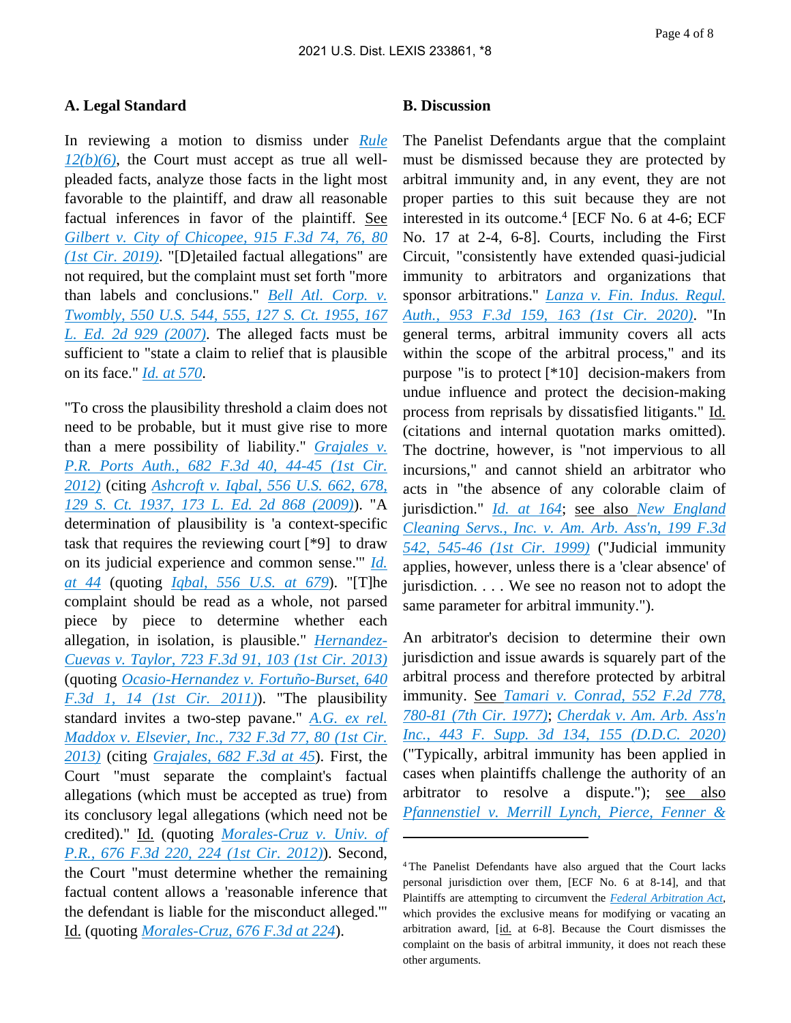#### **A. Legal Standard**

In reviewing a motion to dismiss under *[Rule](https://plus.lexis.com/api/document?collection=statutes-legislation&id=urn:contentItem:5GYC-1WP1-6N19-F0YW-00000-00&context=1530671)  [12\(b\)\(6\)](https://plus.lexis.com/api/document?collection=statutes-legislation&id=urn:contentItem:5GYC-1WP1-6N19-F0YW-00000-00&context=1530671)*, the Court must accept as true all wellpleaded facts, analyze those facts in the light most favorable to the plaintiff, and draw all reasonable factual inferences in favor of the plaintiff. See *[Gilbert v. City of Chicopee, 915 F.3d 74, 76, 80](https://plus.lexis.com/api/document?collection=cases&id=urn:contentItem:5VCM-51F1-JS0R-23TY-00000-00&context=1530671)  [\(1st Cir. 2019\)](https://plus.lexis.com/api/document?collection=cases&id=urn:contentItem:5VCM-51F1-JS0R-23TY-00000-00&context=1530671)*. "[D]etailed factual allegations" are not required, but the complaint must set forth "more than labels and conclusions." *[Bell Atl. Corp. v.](https://plus.lexis.com/api/document?collection=cases&id=urn:contentItem:4NSN-8840-004C-002M-00000-00&context=1530671)  [Twombly, 550 U.S. 544, 555, 127 S. Ct. 1955, 167](https://plus.lexis.com/api/document?collection=cases&id=urn:contentItem:4NSN-8840-004C-002M-00000-00&context=1530671)  [L. Ed. 2d 929 \(2007\)](https://plus.lexis.com/api/document?collection=cases&id=urn:contentItem:4NSN-8840-004C-002M-00000-00&context=1530671)*. The alleged facts must be sufficient to "state a claim to relief that is plausible on its face." *[Id. at 570](https://plus.lexis.com/api/document?collection=cases&id=urn:contentItem:4NSN-8840-004C-002M-00000-00&context=1530671)*.

"To cross the plausibility threshold a claim does not need to be probable, but it must give rise to more than a mere possibility of liability." *[Grajales v.](https://plus.lexis.com/api/document?collection=cases&id=urn:contentItem:55W6-N831-F04K-H04T-00000-00&context=1530671)  [P.R. Ports Auth., 682 F.3d 40, 44-45 \(1st Cir.](https://plus.lexis.com/api/document?collection=cases&id=urn:contentItem:55W6-N831-F04K-H04T-00000-00&context=1530671)  [2012\)](https://plus.lexis.com/api/document?collection=cases&id=urn:contentItem:55W6-N831-F04K-H04T-00000-00&context=1530671)* (citing *[Ashcroft v. Iqbal, 556 U.S. 662, 678,](https://plus.lexis.com/api/document?collection=cases&id=urn:contentItem:4W9Y-4KS0-TXFX-1325-00000-00&context=1530671)  [129 S. Ct. 1937, 173 L. Ed. 2d 868 \(2009\)](https://plus.lexis.com/api/document?collection=cases&id=urn:contentItem:4W9Y-4KS0-TXFX-1325-00000-00&context=1530671)*). "A determination of plausibility is 'a context-specific task that requires the reviewing court [\*9] to draw on its judicial experience and common sense.'" *[Id.](https://plus.lexis.com/api/document?collection=cases&id=urn:contentItem:55W6-N831-F04K-H04T-00000-00&context=1530671)  [at 44](https://plus.lexis.com/api/document?collection=cases&id=urn:contentItem:55W6-N831-F04K-H04T-00000-00&context=1530671)* (quoting *[Iqbal, 556 U.S. at 679](https://plus.lexis.com/api/document?collection=cases&id=urn:contentItem:4W9Y-4KS0-TXFX-1325-00000-00&context=1530671)*). "[T]he complaint should be read as a whole, not parsed piece by piece to determine whether each allegation, in isolation, is plausible." *[Hernandez-](https://plus.lexis.com/api/document?collection=cases&id=urn:contentItem:58X9-BNS1-F04K-H002-00000-00&context=1530671)[Cuevas v. Taylor, 723 F.3d 91, 103 \(1st Cir. 2013\)](https://plus.lexis.com/api/document?collection=cases&id=urn:contentItem:58X9-BNS1-F04K-H002-00000-00&context=1530671)* (quoting *[Ocasio-Hernandez v. Fortuño-Burset, 640](https://plus.lexis.com/api/document?collection=cases&id=urn:contentItem:52HK-HV61-652P-Y04Y-00000-00&context=1530671)  [F.3d 1, 14 \(1st Cir. 2011\)](https://plus.lexis.com/api/document?collection=cases&id=urn:contentItem:52HK-HV61-652P-Y04Y-00000-00&context=1530671)*). "The plausibility standard invites a two-step pavane." *[A.G. ex rel.](https://plus.lexis.com/api/document?collection=cases&id=urn:contentItem:59KP-FGK1-F04K-H079-00000-00&context=1530671)  [Maddox v. Elsevier, Inc., 732 F.3d 77, 80 \(1st Cir.](https://plus.lexis.com/api/document?collection=cases&id=urn:contentItem:59KP-FGK1-F04K-H079-00000-00&context=1530671)  [2013\)](https://plus.lexis.com/api/document?collection=cases&id=urn:contentItem:59KP-FGK1-F04K-H079-00000-00&context=1530671)* (citing *[Grajales, 682 F.3d at 45](https://plus.lexis.com/api/document?collection=cases&id=urn:contentItem:55W6-N831-F04K-H04T-00000-00&context=1530671)*). First, the Court "must separate the complaint's factual allegations (which must be accepted as true) from its conclusory legal allegations (which need not be credited)." Id. (quoting *[Morales-Cruz v. Univ. of](https://plus.lexis.com/api/document?collection=cases&id=urn:contentItem:55CH-YG01-F04K-H003-00000-00&context=1530671)  [P.R., 676 F.3d 220, 224 \(1st Cir. 2012\)](https://plus.lexis.com/api/document?collection=cases&id=urn:contentItem:55CH-YG01-F04K-H003-00000-00&context=1530671)*). Second, the Court "must determine whether the remaining factual content allows a 'reasonable inference that the defendant is liable for the misconduct alleged.'" Id. (quoting *[Morales-Cruz, 676 F.3d at 224](https://plus.lexis.com/api/document?collection=cases&id=urn:contentItem:55CH-YG01-F04K-H003-00000-00&context=1530671)*).

#### **B. Discussion**

The Panelist Defendants argue that the complaint must be dismissed because they are protected by arbitral immunity and, in any event, they are not proper parties to this suit because they are not interested in its outcome.<sup>4</sup> [ECF No. 6 at 4-6; ECF No. 17 at 2-4, 6-8]. Courts, including the First Circuit, "consistently have extended quasi-judicial immunity to arbitrators and organizations that sponsor arbitrations." *[Lanza v. Fin. Indus. Regul.](https://plus.lexis.com/api/document?collection=cases&id=urn:contentItem:5YH2-DGT1-F30T-B34B-00000-00&context=1530671)  [Auth., 953 F.3d 159, 163 \(1st Cir. 2020\)](https://plus.lexis.com/api/document?collection=cases&id=urn:contentItem:5YH2-DGT1-F30T-B34B-00000-00&context=1530671)*. "In general terms, arbitral immunity covers all acts within the scope of the arbitral process," and its purpose "is to protect [\*10] decision-makers from undue influence and protect the decision-making process from reprisals by dissatisfied litigants." Id. (citations and internal quotation marks omitted). The doctrine, however, is "not impervious to all incursions," and cannot shield an arbitrator who acts in "the absence of any colorable claim of jurisdiction." *[Id. at 164](https://plus.lexis.com/api/document?collection=cases&id=urn:contentItem:5YH2-DGT1-F30T-B34B-00000-00&context=1530671)*; see also *[New England](https://plus.lexis.com/api/document?collection=cases&id=urn:contentItem:3Y5F-3YW0-0038-X0MW-00000-00&context=1530671)  [Cleaning Servs., Inc. v. Am. Arb. Ass'n, 199 F.3d](https://plus.lexis.com/api/document?collection=cases&id=urn:contentItem:3Y5F-3YW0-0038-X0MW-00000-00&context=1530671)  [542, 545-46 \(1st Cir. 1999\)](https://plus.lexis.com/api/document?collection=cases&id=urn:contentItem:3Y5F-3YW0-0038-X0MW-00000-00&context=1530671)* ("Judicial immunity applies, however, unless there is a 'clear absence' of jurisdiction. . . . We see no reason not to adopt the same parameter for arbitral immunity.").

An arbitrator's decision to determine their own jurisdiction and issue awards is squarely part of the arbitral process and therefore protected by arbitral immunity. See *[Tamari v. Conrad, 552 F.2d 778,](https://plus.lexis.com/api/document?collection=cases&id=urn:contentItem:3S4X-0Y70-0039-M3KY-00000-00&context=1530671)  [780-81 \(7th Cir. 1977\)](https://plus.lexis.com/api/document?collection=cases&id=urn:contentItem:3S4X-0Y70-0039-M3KY-00000-00&context=1530671)*; *[Cherdak v. Am. Arb. Ass'n](https://plus.lexis.com/api/document?collection=cases&id=urn:contentItem:5YCV-0MW1-K0BB-S2PW-00000-00&context=1530671)  [Inc., 443 F. Supp. 3d 134, 155 \(D.D.C. 2020\)](https://plus.lexis.com/api/document?collection=cases&id=urn:contentItem:5YCV-0MW1-K0BB-S2PW-00000-00&context=1530671)* ("Typically, arbitral immunity has been applied in cases when plaintiffs challenge the authority of an arbitrator to resolve a dispute."); see also *[Pfannenstiel v. Merrill Lynch, Pierce, Fenner &](https://plus.lexis.com/api/document?collection=cases&id=urn:contentItem:4N3H-TGY0-0038-X0DS-00000-00&context=1530671)* 

<sup>4</sup>The Panelist Defendants have also argued that the Court lacks personal jurisdiction over them, [ECF No. 6 at 8-14], and that Plaintiffs are attempting to circumvent the *[Federal Arbitration Act](https://plus.lexis.com/api/document?collection=statutes-legislation&id=urn:contentItem:8S6M-T292-D6RV-H4BK-00000-00&context=1530671)*, which provides the exclusive means for modifying or vacating an arbitration award, [id. at 6-8]. Because the Court dismisses the complaint on the basis of arbitral immunity, it does not reach these other arguments.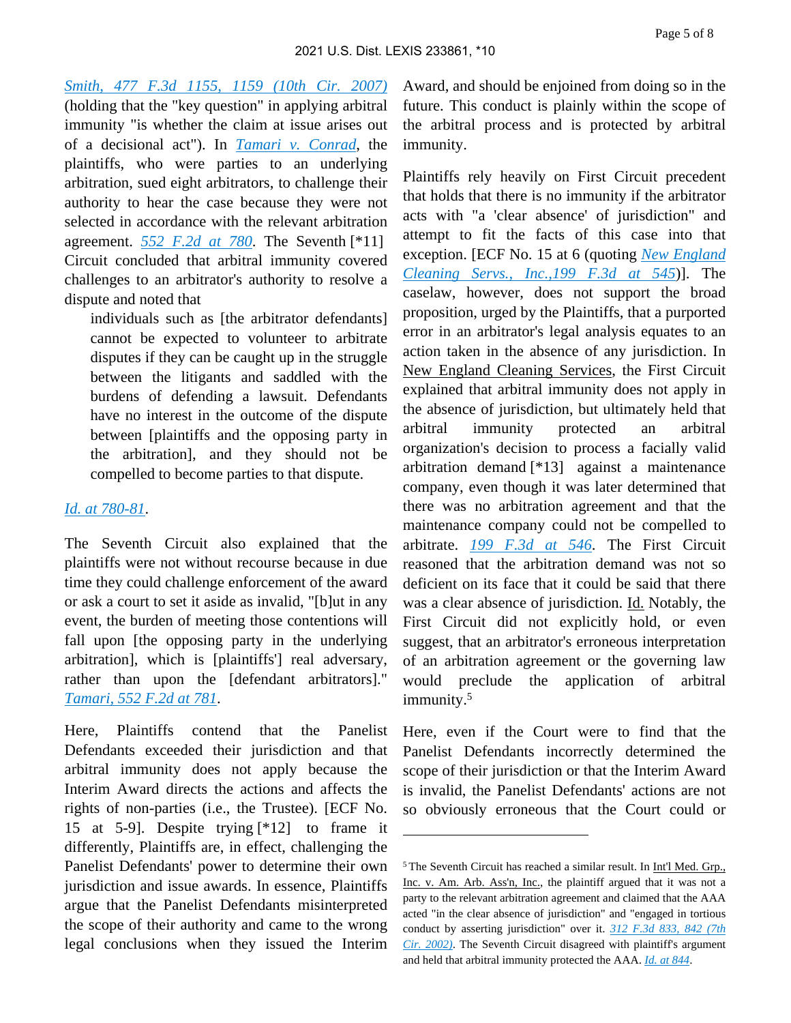*[Smith, 477 F.3d 1155, 1159 \(10th Cir. 2007\)](https://plus.lexis.com/api/document?collection=cases&id=urn:contentItem:4N3H-TGY0-0038-X0DS-00000-00&context=1530671)* (holding that the "key question" in applying arbitral immunity "is whether the claim at issue arises out of a decisional act"). In *[Tamari v. Conrad](https://plus.lexis.com/api/document?collection=cases&id=urn:contentItem:3S4X-0Y70-0039-M3KY-00000-00&context=1530671)*, the plaintiffs, who were parties to an underlying arbitration, sued eight arbitrators, to challenge their authority to hear the case because they were not selected in accordance with the relevant arbitration agreement. *[552 F.2d at 780](https://plus.lexis.com/api/document?collection=cases&id=urn:contentItem:3S4X-0Y70-0039-M3KY-00000-00&context=1530671)*. The Seventh [\*11] Circuit concluded that arbitral immunity covered challenges to an arbitrator's authority to resolve a dispute and noted that

individuals such as [the arbitrator defendants] cannot be expected to volunteer to arbitrate disputes if they can be caught up in the struggle between the litigants and saddled with the burdens of defending a lawsuit. Defendants have no interest in the outcome of the dispute between [plaintiffs and the opposing party in the arbitration], and they should not be compelled to become parties to that dispute.

#### *[Id. at 780-81](https://plus.lexis.com/api/document?collection=cases&id=urn:contentItem:3S4X-0Y70-0039-M3KY-00000-00&context=1530671)*.

The Seventh Circuit also explained that the plaintiffs were not without recourse because in due time they could challenge enforcement of the award or ask a court to set it aside as invalid, "[b]ut in any event, the burden of meeting those contentions will fall upon [the opposing party in the underlying arbitration], which is [plaintiffs'] real adversary, rather than upon the [defendant arbitrators]." *[Tamari, 552 F.2d at 781](https://plus.lexis.com/api/document?collection=cases&id=urn:contentItem:3S4X-0Y70-0039-M3KY-00000-00&context=1530671)*.

Here, Plaintiffs contend that the Panelist Defendants exceeded their jurisdiction and that arbitral immunity does not apply because the Interim Award directs the actions and affects the rights of non-parties (i.e., the Trustee). [ECF No. 15 at 5-9]. Despite trying [\*12] to frame it differently, Plaintiffs are, in effect, challenging the Panelist Defendants' power to determine their own jurisdiction and issue awards. In essence, Plaintiffs argue that the Panelist Defendants misinterpreted the scope of their authority and came to the wrong legal conclusions when they issued the Interim Award, and should be enjoined from doing so in the future. This conduct is plainly within the scope of the arbitral process and is protected by arbitral immunity.

Plaintiffs rely heavily on First Circuit precedent that holds that there is no immunity if the arbitrator acts with "a 'clear absence' of jurisdiction" and attempt to fit the facts of this case into that exception. [ECF No. 15 at 6 (quoting *[New England](https://plus.lexis.com/api/document?collection=cases&id=urn:contentItem:3Y5F-3YW0-0038-X0MW-00000-00&context=1530671)  [Cleaning Servs., Inc.,199 F.3d at 545](https://plus.lexis.com/api/document?collection=cases&id=urn:contentItem:3Y5F-3YW0-0038-X0MW-00000-00&context=1530671)*)]. The caselaw, however, does not support the broad proposition, urged by the Plaintiffs, that a purported error in an arbitrator's legal analysis equates to an action taken in the absence of any jurisdiction. In New England Cleaning Services, the First Circuit explained that arbitral immunity does not apply in the absence of jurisdiction, but ultimately held that arbitral immunity protected an arbitral organization's decision to process a facially valid arbitration demand [\*13] against a maintenance company, even though it was later determined that there was no arbitration agreement and that the maintenance company could not be compelled to arbitrate. *[199 F.3d at 546](https://plus.lexis.com/api/document?collection=cases&id=urn:contentItem:3Y5F-3YW0-0038-X0MW-00000-00&context=1530671)*. The First Circuit reasoned that the arbitration demand was not so deficient on its face that it could be said that there was a clear absence of jurisdiction. Id. Notably, the First Circuit did not explicitly hold, or even suggest, that an arbitrator's erroneous interpretation of an arbitration agreement or the governing law would preclude the application of arbitral immunity.<sup>5</sup>

Here, even if the Court were to find that the Panelist Defendants incorrectly determined the scope of their jurisdiction or that the Interim Award is invalid, the Panelist Defendants' actions are not so obviously erroneous that the Court could or

<sup>5</sup>The Seventh Circuit has reached a similar result. In Int'l Med. Grp., Inc. v. Am. Arb. Ass'n, Inc., the plaintiff argued that it was not a party to the relevant arbitration agreement and claimed that the AAA acted "in the clear absence of jurisdiction" and "engaged in tortious conduct by asserting jurisdiction" over it. *[312 F.3d 833, 842 \(7th](https://plus.lexis.com/api/document?collection=cases&id=urn:contentItem:47C8-WM20-0038-X0FH-00000-00&context=1530671)  [Cir. 2002\)](https://plus.lexis.com/api/document?collection=cases&id=urn:contentItem:47C8-WM20-0038-X0FH-00000-00&context=1530671)*. The Seventh Circuit disagreed with plaintiff's argument and held that arbitral immunity protected the AAA. *[Id. at 844](https://plus.lexis.com/api/document?collection=cases&id=urn:contentItem:47C8-WM20-0038-X0FH-00000-00&context=1530671)*.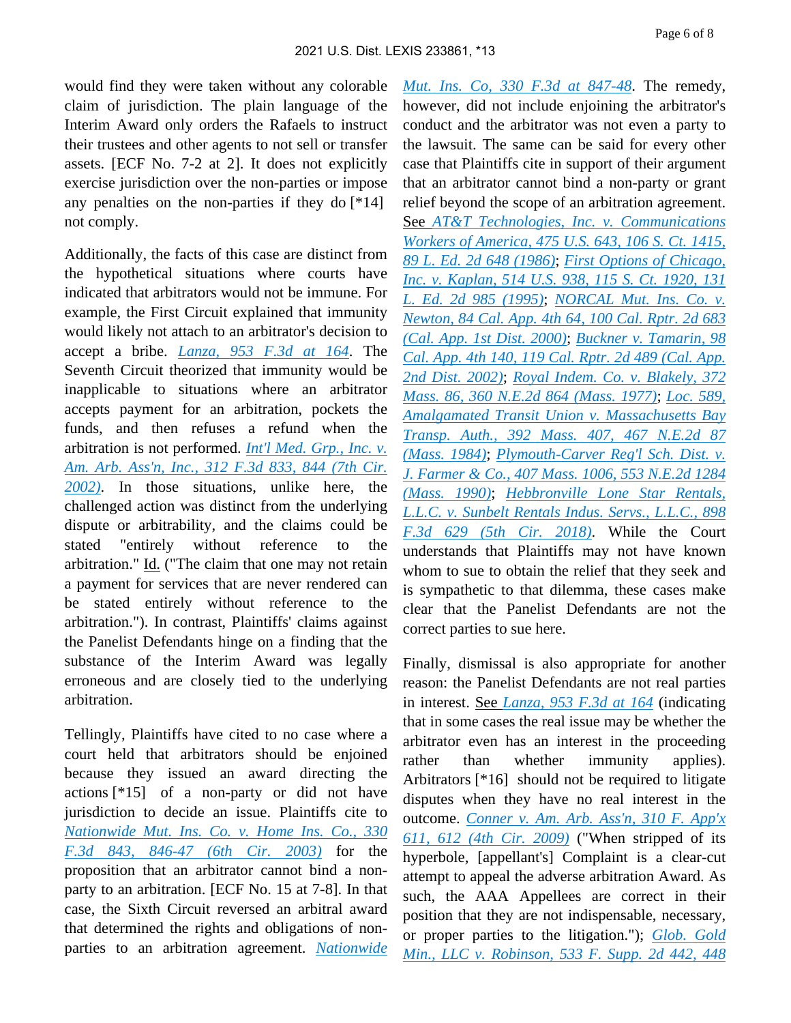would find they were taken without any colorable claim of jurisdiction. The plain language of the Interim Award only orders the Rafaels to instruct their trustees and other agents to not sell or transfer assets. [ECF No. 7-2 at 2]. It does not explicitly exercise jurisdiction over the non-parties or impose any penalties on the non-parties if they do [\*14] not comply.

Additionally, the facts of this case are distinct from the hypothetical situations where courts have indicated that arbitrators would not be immune. For example, the First Circuit explained that immunity would likely not attach to an arbitrator's decision to accept a bribe. *[Lanza, 953 F.3d at 164](https://plus.lexis.com/api/document?collection=cases&id=urn:contentItem:5YH2-DGT1-F30T-B34B-00000-00&context=1530671)*. The Seventh Circuit theorized that immunity would be inapplicable to situations where an arbitrator accepts payment for an arbitration, pockets the funds, and then refuses a refund when the arbitration is not performed. *[Int'l Med. Grp., Inc. v.](https://plus.lexis.com/api/document?collection=cases&id=urn:contentItem:47C8-WM20-0038-X0FH-00000-00&context=1530671)  [Am. Arb. Ass'n, Inc., 312 F.3d 833, 844 \(7th Cir.](https://plus.lexis.com/api/document?collection=cases&id=urn:contentItem:47C8-WM20-0038-X0FH-00000-00&context=1530671)  [2002\)](https://plus.lexis.com/api/document?collection=cases&id=urn:contentItem:47C8-WM20-0038-X0FH-00000-00&context=1530671)*. In those situations, unlike here, the challenged action was distinct from the underlying dispute or arbitrability, and the claims could be stated "entirely without reference to the arbitration." Id. ("The claim that one may not retain a payment for services that are never rendered can be stated entirely without reference to the arbitration."). In contrast, Plaintiffs' claims against the Panelist Defendants hinge on a finding that the substance of the Interim Award was legally erroneous and are closely tied to the underlying arbitration.

Tellingly, Plaintiffs have cited to no case where a court held that arbitrators should be enjoined because they issued an award directing the actions [\*15] of a non-party or did not have jurisdiction to decide an issue. Plaintiffs cite to *[Nationwide Mut. Ins. Co. v. Home Ins. Co., 330](https://plus.lexis.com/api/document?collection=cases&id=urn:contentItem:48RX-FMY0-0038-X0HR-00000-00&context=1530671)  [F.3d 843, 846-47 \(6th Cir. 2003\)](https://plus.lexis.com/api/document?collection=cases&id=urn:contentItem:48RX-FMY0-0038-X0HR-00000-00&context=1530671)* for the proposition that an arbitrator cannot bind a nonparty to an arbitration. [ECF No. 15 at 7-8]. In that case, the Sixth Circuit reversed an arbitral award that determined the rights and obligations of nonparties to an arbitration agreement. *[Nationwide](https://plus.lexis.com/api/document?collection=cases&id=urn:contentItem:48RX-FMY0-0038-X0HR-00000-00&context=1530671)* 

*[Mut. Ins. Co, 330 F.3d at 847-48](https://plus.lexis.com/api/document?collection=cases&id=urn:contentItem:48RX-FMY0-0038-X0HR-00000-00&context=1530671)*. The remedy, however, did not include enjoining the arbitrator's conduct and the arbitrator was not even a party to the lawsuit. The same can be said for every other case that Plaintiffs cite in support of their argument that an arbitrator cannot bind a non-party or grant relief beyond the scope of an arbitration agreement. See *[AT&T Technologies, Inc. v. Communications](https://plus.lexis.com/api/document?collection=cases&id=urn:contentItem:3S4X-7J90-0039-N4TD-00000-00&context=1530671)  [Workers of America, 475 U.S. 643, 106 S. Ct. 1415,](https://plus.lexis.com/api/document?collection=cases&id=urn:contentItem:3S4X-7J90-0039-N4TD-00000-00&context=1530671)  [89 L. Ed. 2d 648 \(1986\)](https://plus.lexis.com/api/document?collection=cases&id=urn:contentItem:3S4X-7J90-0039-N4TD-00000-00&context=1530671)*; *[First Options of Chicago,](https://plus.lexis.com/api/document?collection=cases&id=urn:contentItem:3S42-78V0-003B-R3P6-00000-00&context=1530671)  [Inc. v. Kaplan, 514 U.S. 938, 115 S. Ct. 1920, 131](https://plus.lexis.com/api/document?collection=cases&id=urn:contentItem:3S42-78V0-003B-R3P6-00000-00&context=1530671)  [L. Ed. 2d 985 \(1995\)](https://plus.lexis.com/api/document?collection=cases&id=urn:contentItem:3S42-78V0-003B-R3P6-00000-00&context=1530671)*; *[NORCAL Mut. Ins. Co. v.](https://plus.lexis.com/api/document?collection=cases&id=urn:contentItem:41CY-JSP0-0039-4081-00000-00&context=1530671)  [Newton, 84 Cal. App. 4th 64, 100 Cal. Rptr. 2d 683](https://plus.lexis.com/api/document?collection=cases&id=urn:contentItem:41CY-JSP0-0039-4081-00000-00&context=1530671)  [\(Cal. App. 1st Dist. 2000\)](https://plus.lexis.com/api/document?collection=cases&id=urn:contentItem:41CY-JSP0-0039-4081-00000-00&context=1530671)*; *[Buckner v. Tamarin, 98](https://plus.lexis.com/api/document?collection=cases&id=urn:contentItem:45S3-Y1P0-0039-4282-00000-00&context=1530671)  [Cal. App. 4th 140, 119 Cal. Rptr. 2d 489 \(Cal. App.](https://plus.lexis.com/api/document?collection=cases&id=urn:contentItem:45S3-Y1P0-0039-4282-00000-00&context=1530671)  [2nd Dist. 2002\)](https://plus.lexis.com/api/document?collection=cases&id=urn:contentItem:45S3-Y1P0-0039-4282-00000-00&context=1530671)*; *[Royal Indem. Co. v. Blakely, 372](https://plus.lexis.com/api/document?collection=cases&id=urn:contentItem:3RRJ-6SJ0-003C-T0DC-00000-00&context=1530671)  [Mass. 86, 360 N.E.2d 864 \(Mass. 1977\)](https://plus.lexis.com/api/document?collection=cases&id=urn:contentItem:3RRJ-6SJ0-003C-T0DC-00000-00&context=1530671)*; *[Loc. 589,](https://plus.lexis.com/api/document?collection=cases&id=urn:contentItem:3RX4-56N0-003C-V3PR-00000-00&context=1530671)  [Amalgamated Transit Union v. Massachusetts Bay](https://plus.lexis.com/api/document?collection=cases&id=urn:contentItem:3RX4-56N0-003C-V3PR-00000-00&context=1530671)  [Transp. Auth., 392 Mass. 407, 467 N.E.2d 87](https://plus.lexis.com/api/document?collection=cases&id=urn:contentItem:3RX4-56N0-003C-V3PR-00000-00&context=1530671)  [\(Mass. 1984\)](https://plus.lexis.com/api/document?collection=cases&id=urn:contentItem:3RX4-56N0-003C-V3PR-00000-00&context=1530671)*; *[Plymouth-Carver Reg'l Sch. Dist. v.](https://plus.lexis.com/api/document?collection=cases&id=urn:contentItem:3RX4-4440-003C-V03T-00000-00&context=1530671)  [J. Farmer & Co., 407 Mass. 1006, 553 N.E.2d 1284](https://plus.lexis.com/api/document?collection=cases&id=urn:contentItem:3RX4-4440-003C-V03T-00000-00&context=1530671)  [\(Mass. 1990\)](https://plus.lexis.com/api/document?collection=cases&id=urn:contentItem:3RX4-4440-003C-V03T-00000-00&context=1530671)*; *[Hebbronville Lone Star Rentals,](https://plus.lexis.com/api/document?collection=cases&id=urn:contentItem:5SYY-6X11-JGPY-X35R-00000-00&context=1530671)  [L.L.C. v. Sunbelt Rentals Indus. Servs., L.L.C., 898](https://plus.lexis.com/api/document?collection=cases&id=urn:contentItem:5SYY-6X11-JGPY-X35R-00000-00&context=1530671)  [F.3d 629 \(5th Cir. 2018\)](https://plus.lexis.com/api/document?collection=cases&id=urn:contentItem:5SYY-6X11-JGPY-X35R-00000-00&context=1530671)*. While the Court understands that Plaintiffs may not have known whom to sue to obtain the relief that they seek and is sympathetic to that dilemma, these cases make clear that the Panelist Defendants are not the correct parties to sue here.

Finally, dismissal is also appropriate for another reason: the Panelist Defendants are not real parties in interest. See *[Lanza, 953 F.3d at 164](https://plus.lexis.com/api/document?collection=cases&id=urn:contentItem:5YH2-DGT1-F30T-B34B-00000-00&context=1530671)* (indicating that in some cases the real issue may be whether the arbitrator even has an interest in the proceeding rather than whether immunity applies). Arbitrators [\*16] should not be required to litigate disputes when they have no real interest in the outcome. *[Conner v. Am. Arb. Ass'n, 310 F. App'x](https://plus.lexis.com/api/document?collection=cases&id=urn:contentItem:4VK2-04N0-TXFX-62D0-00000-00&context=1530671)  [611, 612 \(4th Cir. 2009\)](https://plus.lexis.com/api/document?collection=cases&id=urn:contentItem:4VK2-04N0-TXFX-62D0-00000-00&context=1530671)* ("When stripped of its hyperbole, [appellant's] Complaint is a clear-cut attempt to appeal the adverse arbitration Award. As such, the AAA Appellees are correct in their position that they are not indispensable, necessary, or proper parties to the litigation."); *[Glob. Gold](https://plus.lexis.com/api/document?collection=cases&id=urn:contentItem:4RSJ-3970-TXFR-J2CH-00000-00&context=1530671)  [Min., LLC v. Robinson, 533 F. Supp. 2d 442, 448](https://plus.lexis.com/api/document?collection=cases&id=urn:contentItem:4RSJ-3970-TXFR-J2CH-00000-00&context=1530671)*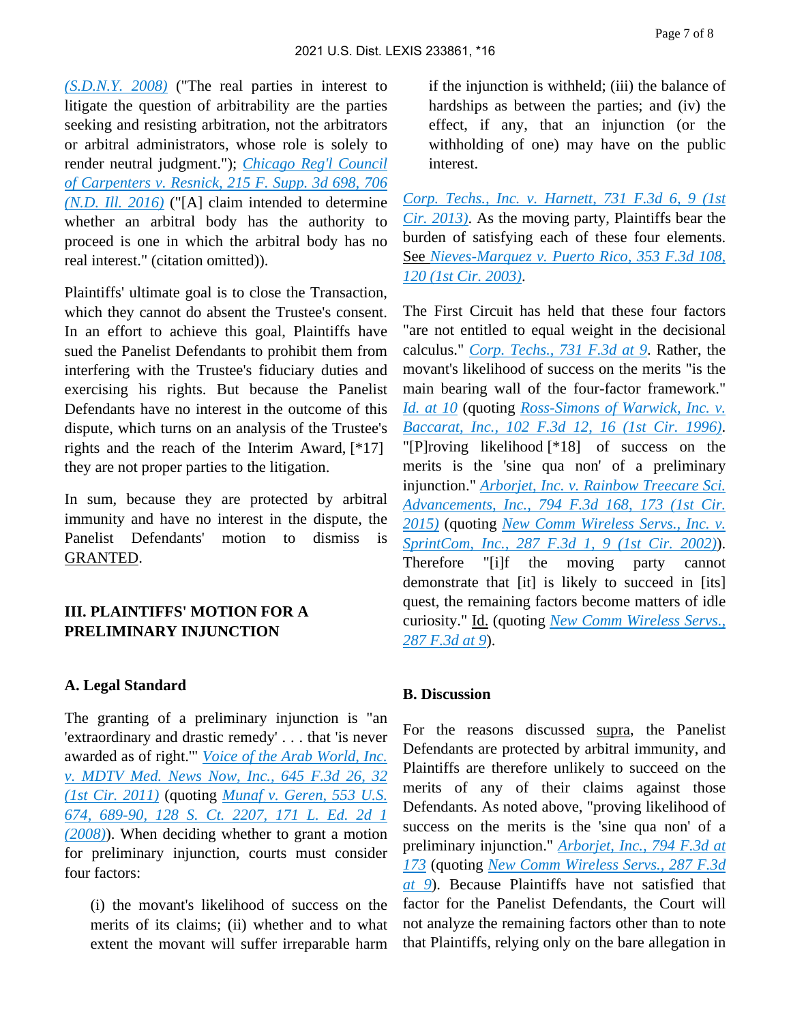*[\(S.D.N.Y. 2008\)](https://plus.lexis.com/api/document?collection=cases&id=urn:contentItem:4RSJ-3970-TXFR-J2CH-00000-00&context=1530671)* ("The real parties in interest to litigate the question of arbitrability are the parties seeking and resisting arbitration, not the arbitrators or arbitral administrators, whose role is solely to render neutral judgment."); *[Chicago Reg'l Council](https://plus.lexis.com/api/document?collection=cases&id=urn:contentItem:5J4W-TBG1-F04D-73FV-00000-00&context=1530671)  [of Carpenters v. Resnick, 215 F. Supp. 3d 698, 706](https://plus.lexis.com/api/document?collection=cases&id=urn:contentItem:5J4W-TBG1-F04D-73FV-00000-00&context=1530671)  [\(N.D. Ill. 2016\)](https://plus.lexis.com/api/document?collection=cases&id=urn:contentItem:5J4W-TBG1-F04D-73FV-00000-00&context=1530671)* ("[A] claim intended to determine whether an arbitral body has the authority to proceed is one in which the arbitral body has no real interest." (citation omitted)).

Plaintiffs' ultimate goal is to close the Transaction, which they cannot do absent the Trustee's consent. In an effort to achieve this goal, Plaintiffs have sued the Panelist Defendants to prohibit them from interfering with the Trustee's fiduciary duties and exercising his rights. But because the Panelist Defendants have no interest in the outcome of this dispute, which turns on an analysis of the Trustee's rights and the reach of the Interim Award, [\*17] they are not proper parties to the litigation.

In sum, because they are protected by arbitral immunity and have no interest in the dispute, the Panelist Defendants' motion to dismiss is GRANTED.

## **III. PLAINTIFFS' MOTION FOR A PRELIMINARY INJUNCTION**

## **A. Legal Standard**

The granting of a preliminary injunction is "an 'extraordinary and drastic remedy' . . . that 'is never awarded as of right.'" *[Voice of the Arab World, Inc.](https://plus.lexis.com/api/document?collection=cases&id=urn:contentItem:52YH-VYM1-652P-Y07V-00000-00&context=1530671)  [v. MDTV Med. News Now, Inc., 645 F.3d 26, 32](https://plus.lexis.com/api/document?collection=cases&id=urn:contentItem:52YH-VYM1-652P-Y07V-00000-00&context=1530671)  [\(1st Cir. 2011\)](https://plus.lexis.com/api/document?collection=cases&id=urn:contentItem:52YH-VYM1-652P-Y07V-00000-00&context=1530671)* (quoting *[Munaf v. Geren, 553 U.S.](https://plus.lexis.com/api/document?collection=cases&id=urn:contentItem:4SRD-SPN0-TXFX-1387-00000-00&context=1530671)  [674, 689-90, 128 S. Ct. 2207, 171 L. Ed. 2d 1](https://plus.lexis.com/api/document?collection=cases&id=urn:contentItem:4SRD-SPN0-TXFX-1387-00000-00&context=1530671)  [\(2008\)](https://plus.lexis.com/api/document?collection=cases&id=urn:contentItem:4SRD-SPN0-TXFX-1387-00000-00&context=1530671)*). When deciding whether to grant a motion for preliminary injunction, courts must consider four factors:

(i) the movant's likelihood of success on the merits of its claims; (ii) whether and to what extent the movant will suffer irreparable harm

if the injunction is withheld; (iii) the balance of hardships as between the parties; and (iv) the effect, if any, that an injunction (or the withholding of one) may have on the public interest.

*[Corp. Techs., Inc. v. Harnett, 731 F.3d 6, 9 \(1st](https://plus.lexis.com/api/document?collection=cases&id=urn:contentItem:59DS-RXC1-F04K-H044-00000-00&context=1530671)  [Cir. 2013\)](https://plus.lexis.com/api/document?collection=cases&id=urn:contentItem:59DS-RXC1-F04K-H044-00000-00&context=1530671)*. As the moving party, Plaintiffs bear the burden of satisfying each of these four elements. See *[Nieves-Marquez v. Puerto Rico, 353 F.3d 108,](https://plus.lexis.com/api/document?collection=cases&id=urn:contentItem:4B9F-CFC0-0038-X069-00000-00&context=1530671)  [120 \(1st Cir. 2003\)](https://plus.lexis.com/api/document?collection=cases&id=urn:contentItem:4B9F-CFC0-0038-X069-00000-00&context=1530671)*.

The First Circuit has held that these four factors "are not entitled to equal weight in the decisional calculus." *[Corp. Techs., 731 F.3d at 9](https://plus.lexis.com/api/document?collection=cases&id=urn:contentItem:59DS-RXC1-F04K-H044-00000-00&context=1530671)*. Rather, the movant's likelihood of success on the merits "is the main bearing wall of the four-factor framework." *[Id. at 10](https://plus.lexis.com/api/document?collection=cases&id=urn:contentItem:59DS-RXC1-F04K-H044-00000-00&context=1530671)* (quoting *[Ross-Simons of Warwick, Inc. v.](https://plus.lexis.com/api/document?collection=cases&id=urn:contentItem:3S4W-YBF0-006F-M17P-00000-00&context=1530671)  [Baccarat, Inc., 102 F.3d 12, 16 \(1st Cir. 1996\)](https://plus.lexis.com/api/document?collection=cases&id=urn:contentItem:3S4W-YBF0-006F-M17P-00000-00&context=1530671)*. "[P]roving likelihood [\*18] of success on the merits is the 'sine qua non' of a preliminary injunction." *[Arborjet, Inc. v. Rainbow Treecare Sci.](https://plus.lexis.com/api/document?collection=cases&id=urn:contentItem:5GFR-TKR1-F04K-H02K-00000-00&context=1530671)  [Advancements, Inc., 794 F.3d 168, 173 \(1st Cir.](https://plus.lexis.com/api/document?collection=cases&id=urn:contentItem:5GFR-TKR1-F04K-H02K-00000-00&context=1530671)  [2015\)](https://plus.lexis.com/api/document?collection=cases&id=urn:contentItem:5GFR-TKR1-F04K-H02K-00000-00&context=1530671)* (quoting *[New Comm Wireless Servs., Inc. v.](https://plus.lexis.com/api/document?collection=cases&id=urn:contentItem:45HH-S0C0-0038-X44Y-00000-00&context=1530671)  [SprintCom, Inc., 287 F.3d 1, 9 \(1st Cir. 2002\)](https://plus.lexis.com/api/document?collection=cases&id=urn:contentItem:45HH-S0C0-0038-X44Y-00000-00&context=1530671)*). Therefore "[i]f the moving party cannot demonstrate that [it] is likely to succeed in [its] quest, the remaining factors become matters of idle curiosity." Id. (quoting *[New Comm Wireless Servs.,](https://plus.lexis.com/api/document?collection=cases&id=urn:contentItem:45HH-S0C0-0038-X44Y-00000-00&context=1530671)  [287 F.3d at 9](https://plus.lexis.com/api/document?collection=cases&id=urn:contentItem:45HH-S0C0-0038-X44Y-00000-00&context=1530671)*).

### **B. Discussion**

For the reasons discussed supra, the Panelist Defendants are protected by arbitral immunity, and Plaintiffs are therefore unlikely to succeed on the merits of any of their claims against those Defendants. As noted above, "proving likelihood of success on the merits is the 'sine qua non' of a preliminary injunction." *[Arborjet, Inc., 794 F.3d at](https://plus.lexis.com/api/document?collection=cases&id=urn:contentItem:5GFR-TKR1-F04K-H02K-00000-00&context=1530671)  [173](https://plus.lexis.com/api/document?collection=cases&id=urn:contentItem:5GFR-TKR1-F04K-H02K-00000-00&context=1530671)* (quoting *[New Comm Wireless Servs., 287 F.3d](https://plus.lexis.com/api/document?collection=cases&id=urn:contentItem:45HH-S0C0-0038-X44Y-00000-00&context=1530671)  [at 9](https://plus.lexis.com/api/document?collection=cases&id=urn:contentItem:45HH-S0C0-0038-X44Y-00000-00&context=1530671)*). Because Plaintiffs have not satisfied that factor for the Panelist Defendants, the Court will not analyze the remaining factors other than to note that Plaintiffs, relying only on the bare allegation in